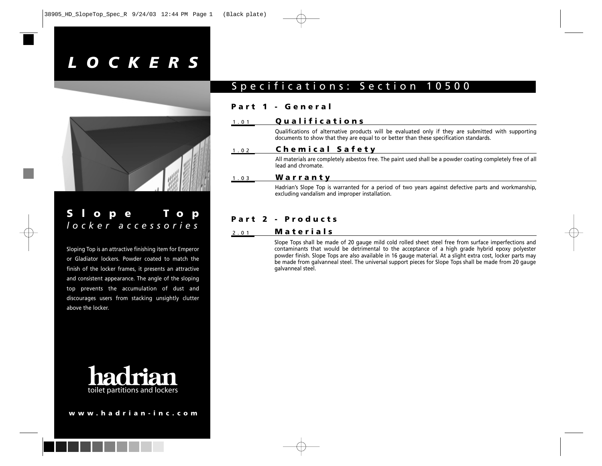# *LOCKERS*



## **Slope Top** *locker accessories*

Sloping Top is an attractive finishing item for Emperor or Gladiator lockers. Powder coated to match the finish of the locker frames, it presents an attractive and consistent appearance. The angle of the sloping top prevents the accumulation of dust and discourages users from stacking unsightly clutter above the locker.



#### **www.hadrian-inc.com**

### Specifications: Section 10500

#### **Part 1 - General**

#### 1.01 **Qualifications**

Qualifications of alternative products will be evaluated only if they are submitted with supporting documents to show that they are equal to or better than these specification standards.

#### 1.02 **Chemical Safety**

All materials are completely asbestos free. The paint used shall be a powder coating completely free of all lead and chromate.

#### 1.03 **Warranty**

Hadrian's Slope Top is warranted for a period of two years against defective parts and workmanship, excluding vandalism and improper installation.

### **Part 2 - Products**

#### 2.01 **Materials**

Slope Tops shall be made of 20 gauge mild cold rolled sheet steel free from surface imperfections and contaminants that would be detrimental to the acceptance of a high grade hybrid epoxy polyester powder finish. Slope Tops are also available in 16 gauge material. At a slight extra cost, locker parts may be made from galvanneal steel. The universal support pieces for Slope Tops shall be made from 20 gauge galvanneal steel.